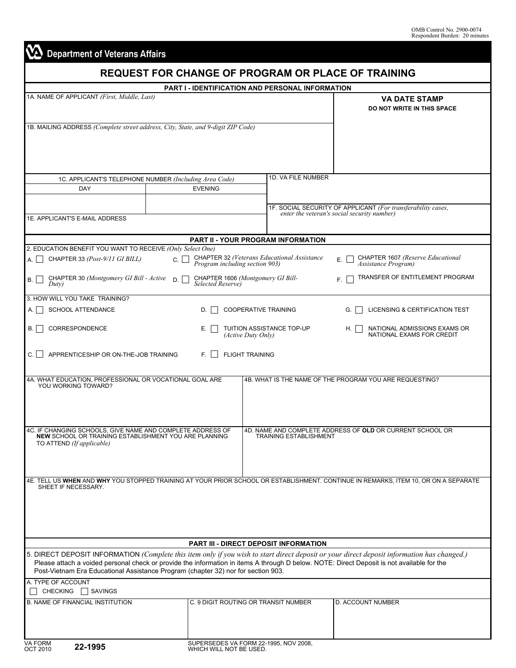∎

| <b>REQUEST FOR CHANGE OF PROGRAM OR PLACE OF TRAINING</b><br><b>PART I - IDENTIFICATION AND PERSONAL INFORMATION</b>                                                                                                            |                                                    |                                                               |                                                                                                                                     |  |  |  |  |
|---------------------------------------------------------------------------------------------------------------------------------------------------------------------------------------------------------------------------------|----------------------------------------------------|---------------------------------------------------------------|-------------------------------------------------------------------------------------------------------------------------------------|--|--|--|--|
| 1A. NAME OF APPLICANT (First, Middle, Last)                                                                                                                                                                                     | <b>VA DATE STAMP</b><br>DO NOT WRITE IN THIS SPACE |                                                               |                                                                                                                                     |  |  |  |  |
| 1B. MAILING ADDRESS (Complete street address, City, State, and 9-digit ZIP Code)                                                                                                                                                |                                                    |                                                               |                                                                                                                                     |  |  |  |  |
|                                                                                                                                                                                                                                 |                                                    | 1D. VA FILE NUMBER                                            |                                                                                                                                     |  |  |  |  |
| 1C. APPLICANT'S TELEPHONE NUMBER (Including Area Code)<br>DAY                                                                                                                                                                   | <b>EVENING</b>                                     |                                                               |                                                                                                                                     |  |  |  |  |
| 1E. APPLICANT'S E-MAIL ADDRESS                                                                                                                                                                                                  |                                                    |                                                               | 1F. SOCIAL SECURITY OF APPLICANT (For transferability cases,<br>enter the veteran's social security number)                         |  |  |  |  |
|                                                                                                                                                                                                                                 |                                                    | <b>PART II - YOUR PROGRAM INFORMATION</b>                     |                                                                                                                                     |  |  |  |  |
| 2. EDUCATION BENEFIT YOU WANT TO RECEIVE (Only Select One)                                                                                                                                                                      |                                                    |                                                               |                                                                                                                                     |  |  |  |  |
| CHAPTER 33 (Post-9/11 GI BILL)<br>А.                                                                                                                                                                                            | C.I.<br>Program including section 903)             | <b>CHAPTER 32 (Veterans Educational Assistance</b>            | CHAPTER 1607 (Reserve Educational<br>Е.<br>Assistance Program)                                                                      |  |  |  |  |
| CHAPTER 30 (Montgomery GI Bill - Active<br>В.<br>Duty)                                                                                                                                                                          | D.<br>Selected Reserve)                            | CHAPTER 1606 (Montgomery GI Bill-                             | TRANSFER OF ENTITLEMENT PROGRAM<br>F.                                                                                               |  |  |  |  |
| 3. HOW WILL YOU TAKE TRAINING?<br><b>SCHOOL ATTENDANCE</b><br>А.                                                                                                                                                                | D.                                                 | <b>COOPERATIVE TRAINING</b>                                   | LICENSING & CERTIFICATION TEST<br>G.                                                                                                |  |  |  |  |
|                                                                                                                                                                                                                                 |                                                    |                                                               |                                                                                                                                     |  |  |  |  |
| CORRESPONDENCE<br>В.                                                                                                                                                                                                            | Е.                                                 | TUITION ASSISTANCE TOP-UP<br>(Active Duty Only)               | NATIONAL ADMISSIONS EXAMS OR<br>H.<br>NATIONAL EXAMS FOR CREDIT                                                                     |  |  |  |  |
| APPRENTICESHIP OR ON-THE-JOB TRAINING<br>C.II                                                                                                                                                                                   | E.I                                                | <b>FLIGHT TRAINING</b>                                        |                                                                                                                                     |  |  |  |  |
| 4A. WHAT EDUCATION, PROFESSIONAL OR VOCATIONAL GOAL ARE<br>YOU WORKING TOWARD?                                                                                                                                                  |                                                    |                                                               | 4B. WHAT IS THE NAME OF THE PROGRAM YOU ARE REQUESTING?                                                                             |  |  |  |  |
|                                                                                                                                                                                                                                 |                                                    |                                                               |                                                                                                                                     |  |  |  |  |
| 4C. IF CHANGING SCHOOLS, GIVE NAME AND COMPLETE ADDRESS OF<br>NEW SCHOOL OR TRAINING ESTABLISHMENT YOU ARE PLANNING<br>TO ATTEND (If applicable)                                                                                |                                                    | <b>TRAINING ESTABLISHMENT</b>                                 | 4D. NAME AND COMPLETE ADDRESS OF OLD OR CURRENT SCHOOL OR                                                                           |  |  |  |  |
|                                                                                                                                                                                                                                 |                                                    |                                                               |                                                                                                                                     |  |  |  |  |
| SHEET IF NECESSARY.                                                                                                                                                                                                             |                                                    |                                                               | 4E. TELL US WHEN AND WHY YOU STOPPED TRAINING AT YOUR PRIOR SCHOOL OR ESTABLISHMENT. CONTINUE IN REMARKS, ITEM 10, OR ON A SEPARATE |  |  |  |  |
|                                                                                                                                                                                                                                 |                                                    |                                                               |                                                                                                                                     |  |  |  |  |
|                                                                                                                                                                                                                                 |                                                    |                                                               |                                                                                                                                     |  |  |  |  |
| 5. DIRECT DEPOSIT INFORMATION (Complete this item only if you wish to start direct deposit or your direct deposit information has changed.)                                                                                     |                                                    | <b>PART III - DIRECT DEPOSIT INFORMATION</b>                  |                                                                                                                                     |  |  |  |  |
| Please attach a voided personal check or provide the information in items A through D below. NOTE: Direct Deposit is not available for the<br>Post-Vietnam Era Educational Assistance Program (chapter 32) nor for section 903. |                                                    |                                                               |                                                                                                                                     |  |  |  |  |
| A. TYPE OF ACCOUNT<br>CHECKING □ SAVINGS                                                                                                                                                                                        |                                                    |                                                               |                                                                                                                                     |  |  |  |  |
| <b>B. NAME OF FINANCIAL INSTITUTION</b>                                                                                                                                                                                         |                                                    | C. 9 DIGIT ROUTING OR TRANSIT NUMBER                          | D. ACCOUNT NUMBER                                                                                                                   |  |  |  |  |
|                                                                                                                                                                                                                                 |                                                    |                                                               |                                                                                                                                     |  |  |  |  |
| <b>VA FORM<br/>OCT 2010</b><br>22-1995                                                                                                                                                                                          |                                                    | SUPERSEDES VA FORM 22-1995, NOV 2008, WHICH WILL NOT BE USED. |                                                                                                                                     |  |  |  |  |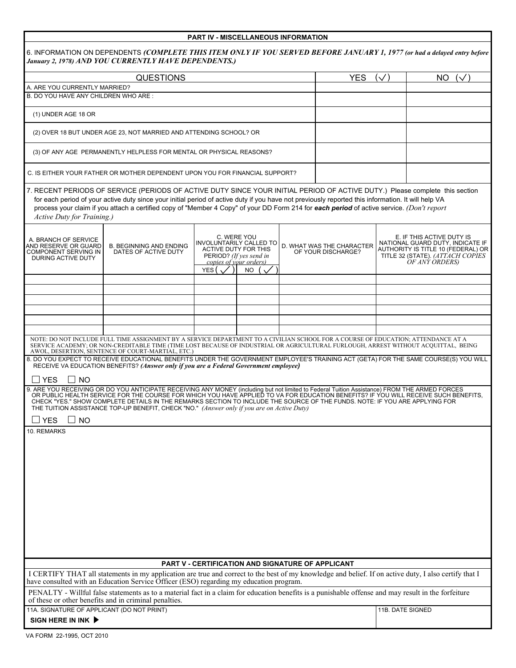|                                                                                            |                                                                                                                                                                                                                                                                                                                                                                                                                                                                                                                   | <b>PART IV - MISCELLANEOUS INFORMATION</b>                                                                                          |     |  |                                                 |          |                                                                                                                                                           |  |
|--------------------------------------------------------------------------------------------|-------------------------------------------------------------------------------------------------------------------------------------------------------------------------------------------------------------------------------------------------------------------------------------------------------------------------------------------------------------------------------------------------------------------------------------------------------------------------------------------------------------------|-------------------------------------------------------------------------------------------------------------------------------------|-----|--|-------------------------------------------------|----------|-----------------------------------------------------------------------------------------------------------------------------------------------------------|--|
|                                                                                            | 6. INFORMATION ON DEPENDENTS (COMPLETE THIS ITEM ONLY IF YOU SERVED BEFORE JANUARY 1, 1977 (or had a delayed entry before<br>January 2, 1978) AND YOU CURRENTLY HAVE DEPENDENTS.)                                                                                                                                                                                                                                                                                                                                 |                                                                                                                                     |     |  |                                                 |          |                                                                                                                                                           |  |
|                                                                                            | <b>QUESTIONS</b>                                                                                                                                                                                                                                                                                                                                                                                                                                                                                                  |                                                                                                                                     |     |  | <b>YES</b>                                      | $(\vee)$ | NO.<br>$(\vee)$                                                                                                                                           |  |
|                                                                                            | A. ARE YOU CURRENTLY MARRIED?                                                                                                                                                                                                                                                                                                                                                                                                                                                                                     |                                                                                                                                     |     |  |                                                 |          |                                                                                                                                                           |  |
| B. DO YOU HAVE ANY CHILDREN WHO ARE:                                                       |                                                                                                                                                                                                                                                                                                                                                                                                                                                                                                                   |                                                                                                                                     |     |  |                                                 |          |                                                                                                                                                           |  |
| (1) UNDER AGE 18 OR                                                                        |                                                                                                                                                                                                                                                                                                                                                                                                                                                                                                                   |                                                                                                                                     |     |  |                                                 |          |                                                                                                                                                           |  |
|                                                                                            | (2) OVER 18 BUT UNDER AGE 23, NOT MARRIED AND ATTENDING SCHOOL? OR                                                                                                                                                                                                                                                                                                                                                                                                                                                |                                                                                                                                     |     |  |                                                 |          |                                                                                                                                                           |  |
|                                                                                            | (3) OF ANY AGE PERMANENTLY HELPLESS FOR MENTAL OR PHYSICAL REASONS?                                                                                                                                                                                                                                                                                                                                                                                                                                               |                                                                                                                                     |     |  |                                                 |          |                                                                                                                                                           |  |
|                                                                                            | C. IS EITHER YOUR FATHER OR MOTHER DEPENDENT UPON YOU FOR FINANCIAL SUPPORT?                                                                                                                                                                                                                                                                                                                                                                                                                                      |                                                                                                                                     |     |  |                                                 |          |                                                                                                                                                           |  |
| Active Duty for Training.)                                                                 | 7. RECENT PERIODS OF SERVICE (PERIODS OF ACTIVE DUTY SINCE YOUR INITIAL PERIOD OF ACTIVE DUTY.) Please complete this section<br>for each period of your active duty since your initial period of active duty if you have not previously reported this information. It will help VA<br>process your claim if you attach a certified copy of "Member 4 Copy" of your DD Form 214 for each period of active service. (Don't report                                                                                   |                                                                                                                                     |     |  |                                                 |          |                                                                                                                                                           |  |
| A. BRANCH OF SERVICE<br>AND RESERVE OR GUARD<br>COMPONENT SERVING IN<br>DURING ACTIVE DUTY | <b>B. BEGINNING AND ENDING</b><br>DATES OF ACTIVE DUTY                                                                                                                                                                                                                                                                                                                                                                                                                                                            | C. WERE YOU<br>INVOLUNTARILY CALLED TO<br><b>ACTIVE DUTY FOR THIS</b><br>PERIOD? (If yes send in<br>copies of your orders)<br>YES ( | NO. |  | D. WHAT WAS THE CHARACTER<br>OF YOUR DISCHARGE? |          | E. IF THIS ACTIVE DUTY IS<br>NATIONAL GUARD DUTY, INDICATE IF<br>AUTHORITY IS TITLE 10 (FEDERAL) OR<br>TITLE 32 (STATE). (ATTACH COPIES<br>OF ANY ORDERS) |  |
|                                                                                            |                                                                                                                                                                                                                                                                                                                                                                                                                                                                                                                   |                                                                                                                                     |     |  |                                                 |          |                                                                                                                                                           |  |
|                                                                                            |                                                                                                                                                                                                                                                                                                                                                                                                                                                                                                                   |                                                                                                                                     |     |  |                                                 |          |                                                                                                                                                           |  |
|                                                                                            |                                                                                                                                                                                                                                                                                                                                                                                                                                                                                                                   |                                                                                                                                     |     |  |                                                 |          |                                                                                                                                                           |  |
|                                                                                            |                                                                                                                                                                                                                                                                                                                                                                                                                                                                                                                   |                                                                                                                                     |     |  |                                                 |          |                                                                                                                                                           |  |
|                                                                                            |                                                                                                                                                                                                                                                                                                                                                                                                                                                                                                                   |                                                                                                                                     |     |  |                                                 |          |                                                                                                                                                           |  |
|                                                                                            | NOTE: DO NOT INCLUDE FULL TIME ASSIGNMENT BY A SERVICE DEPARTMENT TO A CIVILIAN SCHOOL FOR A COURSE OF EDUCATION; ATTENDANCE AT A<br>SERVICE ACADEMY; OR NON-CREDITABLE TIME (TIME LOST BECAUSE OF INDUSTRIAL OR AGRICULTURAL FURLOUGH, ARREST WITHOUT ACQUITTAL, BEING<br>AWOL, DESERTION, SENTENCE OF COURT-MARTIAL, ETC.)<br>8. DO YOU EXPECT TO RECEIVE EDUCATIONAL BENEFITS UNDER THE GOVERNMENT EMPLOYEE'S TRAINING ACT (GETA) FOR THE SAME COURSE(S) YOU WILL                                              |                                                                                                                                     |     |  |                                                 |          |                                                                                                                                                           |  |
| $\Box$ NO<br>$\Box$ YES                                                                    | RECEIVE VA EDUCATION BENEFITS? (Answer only if you are a Federal Government employee)                                                                                                                                                                                                                                                                                                                                                                                                                             |                                                                                                                                     |     |  |                                                 |          |                                                                                                                                                           |  |
| <b>YES</b><br><b>NO</b>                                                                    | 9. ARE YOU RECEIVING OR DO YOU ANTICIPATE RECEIVING ANY MONEY (including but not limited to Federal Tuition Assistance) FROM THE ARMED FORCES<br>OR PUBLIC HEALTH SERVICE FOR THE COURSE FOR WHICH YOU HAVE APPLIED TO VA FOR EDUCATION BENEFITS? IF YOU WILL RECEIVE SUCH BENEFITS,<br>CHECK "YES." SHOW COMPLETE DETAILS IN THE REMARKS SECTION TO INCLUDE THE SOURCE OF THE FUNDS. NOTE: IF YOU ARE APPLYING FOR<br>THE TUITION ASSISTANCE TOP-UP BENEFIT, CHECK "NO." (Answer only if you are on Active Duty) |                                                                                                                                     |     |  |                                                 |          |                                                                                                                                                           |  |
| 10. REMARKS                                                                                |                                                                                                                                                                                                                                                                                                                                                                                                                                                                                                                   |                                                                                                                                     |     |  |                                                 |          |                                                                                                                                                           |  |
|                                                                                            |                                                                                                                                                                                                                                                                                                                                                                                                                                                                                                                   | PART V - CERTIFICATION AND SIGNATURE OF APPLICANT                                                                                   |     |  |                                                 |          |                                                                                                                                                           |  |
|                                                                                            | I CERTIFY THAT all statements in my application are true and correct to the best of my knowledge and belief. If on active duty, I also certify that I<br>have consulted with an Education Service Officer (ESO) regarding my education program.                                                                                                                                                                                                                                                                   |                                                                                                                                     |     |  |                                                 |          |                                                                                                                                                           |  |
|                                                                                            | PENALTY - Willful false statements as to a material fact in a claim for education benefits is a punishable offense and may result in the forfeiture<br>of these or other benefits and in criminal penalties.                                                                                                                                                                                                                                                                                                      |                                                                                                                                     |     |  |                                                 |          |                                                                                                                                                           |  |
| 11A. SIGNATURE OF APPLICANT (DO NOT PRINT)<br>SIGN HERE IN INK $\blacktriangleright$       |                                                                                                                                                                                                                                                                                                                                                                                                                                                                                                                   |                                                                                                                                     |     |  |                                                 |          | 11B. DATE SIGNED                                                                                                                                          |  |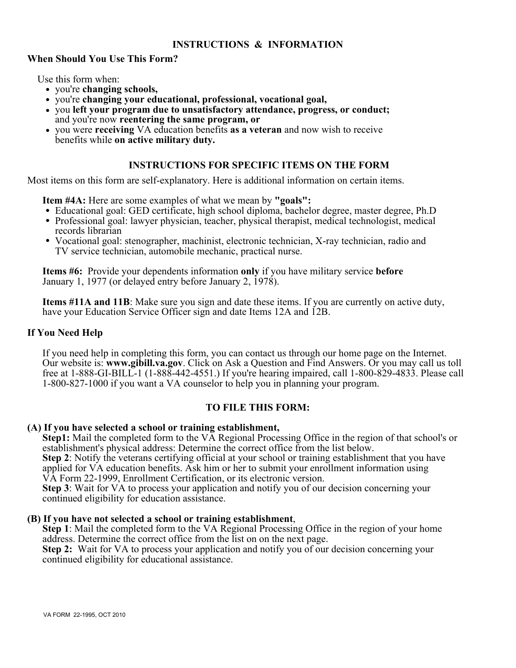## **INSTRUCTIONS & INFORMATION**

## **When Should You Use This Form?**

Use this form when:

- you're **changing schools,**
- you're **changing your educational, professional, vocational goal,**
- you **left your program due to unsatisfactory attendance, progress, or conduct;** and you're now **reentering the same program, or**
- you were **receiving** VA education benefits **as a veteran** and now wish to receive benefits while **on active military duty.**

## **INSTRUCTIONS FOR SPECIFIC ITEMS ON THE FORM**

Most items on this form are self-explanatory. Here is additional information on certain items.

**Item #4A:** Here are some examples of what we mean by **"goals":**

- Educational goal: GED certificate, high school diploma, bachelor degree, master degree, Ph.D
- Professional goal: lawyer physician, teacher, physical therapist, medical technologist, medical records librarian
- Vocational goal: stenographer, machinist, electronic technician, X-ray technician, radio and TV service technician, automobile mechanic, practical nurse.

 **Items #6:** Provide your dependents information **only** if you have military service **before** January 1, 1977 (or delayed entry before January 2, 1978).

 **Items #11A and 11B**: Make sure you sign and date these items. If you are currently on active duty, have your Education Service Officer sign and date Items 12A and 12B.

#### **If You Need Help**

If you need help in completing this form, you can contact us through our home page on the Internet. Our website is: **www.gibill.va.gov**. Click on Ask a Question and Find Answers. Or you may call us toll free at 1-888-GI-BILL-1 (1-888-442-4551.) If you're hearing impaired, call 1-800-829-4833. Please call 1-800-827-1000 if you want a VA counselor to help you in planning your program.

# **TO FILE THIS FORM:**

#### **(A) If you have selected a school or training establishment,**

**Step1:** Mail the completed form to the VA Regional Processing Office in the region of that school's or establishment's physical address: Determine the correct office from the list below.

**Step 2**: Notify the veterans certifying official at your school or training establishment that you have applied for VA education benefits. Ask him or her to submit your enrollment information using VA Form 22-1999, Enrollment Certification, or its electronic version.

 **Step 3**: Wait for VA to process your application and notify you of our decision concerning your continued eligibility for education assistance.

#### **(B) If you have not selected a school or training establishment**,

 **Step 1**: Mail the completed form to the VA Regional Processing Office in the region of your home address. Determine the correct office from the list on on the next page.

 **Step 2:** Wait for VA to process your application and notify you of our decision concerning your continued eligibility for educational assistance.